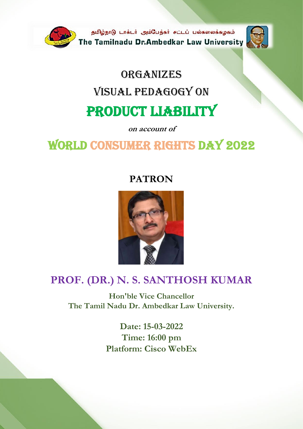

# **ORGANIZES** visual pedagogy on PRODUCT LIABILITY

**on account of**

# World Consumer rights Day 2022

### **PATRON**



### **PROF. (DR.) N. S. SANTHOSH KUMAR**

**Hon'ble Vice Chancellor The Tamil Nadu Dr. Ambedkar Law University.**

> **Date: 15-03-2022 Time: 16:00 pm Platform: Cisco WebEx**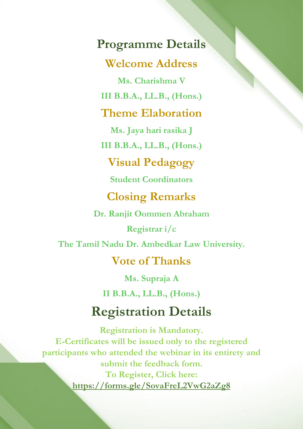**Programme Details Welcome Address**

**Ms. Charishma V**

**III B.B.A., LL.B., (Hons.)**

### **Theme Elaboration**

**Ms. Jaya hari rasika J**

**III B.B.A., LL.B., (Hons.)**

### **Visual Pedagogy**

**Student Coordinators** 

### **Closing Remarks**

**Dr. Ranjit Oommen Abraham**

**Registrar i/c**

**The Tamil Nadu Dr. Ambedkar Law University.**

### **Vote of Thanks**

**Ms. Supraja A**

**II B.B.A., LL.B., (Hons.)**

## **Registration Details**

**Registration is Mandatory. E-Certificates will be issued only to the registered participants who attended the webinar in its entirety and submit the feedback form. To Register, Click here: <https://forms.gle/SovaFreL2VwG2aZg8>**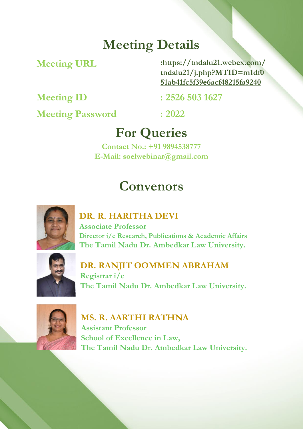# **Meeting Details**

**Meeting URL** 

**[:https://tndalu21.webex.com/](https://tndalu21.webex.com/tndalu21/j.php?MTID=m1df051ab41fc5f39e6acf48215fa9240) [tndalu21/j.php?MTID=m1df0](https://tndalu21.webex.com/tndalu21/j.php?MTID=m1df051ab41fc5f39e6acf48215fa9240) [51ab41fc5f39e6acf48215fa9240](https://tndalu21.webex.com/tndalu21/j.php?MTID=m1df051ab41fc5f39e6acf48215fa9240)**

**Meeting Password : 2022**

**Meeting ID : 2526 503 1627**

# **For Queries**

**Contact No.: +91 9894538777 E-Mail: soelwebinar@gmail.com**

# **Convenors**



#### **DR. R. HARITHA DEVI**

**Associate Professor Director i/c Research, Publications & Academic Affairs The Tamil Nadu Dr. Ambedkar Law University.**



#### **DR. RANJIT OOMMEN ABRAHAM**

**Registrar i/c The Tamil Nadu Dr. Ambedkar Law University.**



**MS. R. AARTHI RATHNA Assistant Professor School of Excellence in Law, The Tamil Nadu Dr. Ambedkar Law University.**